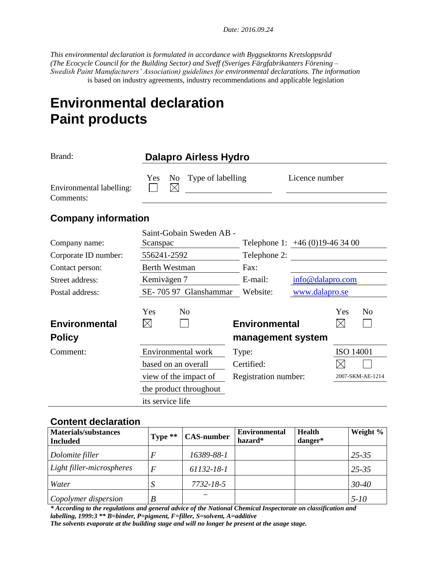*Date: 2016.09.24* 

*This environmental declaration is formulated in accordance with Byggsektorns Kretsloppsråd (The Ecocycle Council for the Building Sector) and Sveff (Sveriges Färgfabrikanters Förening – Swedish Paint Manufacturers' Association) guidelines for environmental declarations. The information* is based on industry agreements, industry recommendations and applicable legislation

# **Environmental declaration Paint products**

| Brand:                                |                                      | Dalapro Airless Hydro    |                                           |                                |                    |                  |
|---------------------------------------|--------------------------------------|--------------------------|-------------------------------------------|--------------------------------|--------------------|------------------|
| Environmental labelling:<br>Comments: | N <sub>0</sub><br>Yes<br>$\boxtimes$ | Type of labelling        |                                           | Licence number                 |                    |                  |
| <b>Company information</b>            |                                      |                          |                                           |                                |                    |                  |
| Company name:                         | Scanspac                             | Saint-Gobain Sweden AB - |                                           | Telephone 1: $+46(0)19-463400$ |                    |                  |
| Corporate ID number:                  | 556241-2592                          |                          | Telephone 2:                              |                                |                    |                  |
| Contact person:                       | <b>Berth Westman</b>                 |                          | Fax:                                      |                                |                    |                  |
| Street address:                       | Kemivägen 7                          |                          | E-mail:                                   | info@dalapro.com               |                    |                  |
| Postal address:                       |                                      | SE-705 97 Glanshammar    | Website:                                  | www.dalapro.se                 |                    |                  |
| <b>Environmental</b><br><b>Policy</b> | Yes<br>$\bowtie$                     | N <sub>0</sub>           | <b>Environmental</b><br>management system |                                | Yes<br>$\boxtimes$ | N <sub>o</sub>   |
|                                       |                                      |                          |                                           |                                |                    |                  |
| Comment:                              |                                      | Environmental work       | Type:                                     |                                | <b>ISO 14001</b>   |                  |
|                                       | based on an overall                  |                          | Certified:                                |                                |                    |                  |
|                                       |                                      | view of the impact of    | Registration number:                      |                                |                    | 2007-SKM-AE-1214 |
|                                       |                                      | the product throughout   |                                           |                                |                    |                  |

#### **Content declaration**

| <b>Materials/substances</b><br><b>Included</b> | Type $**$ | <b>CAS-number</b> | <b>Environmental</b><br>hazard* | <b>Health</b><br>danger* | Weight %  |
|------------------------------------------------|-----------|-------------------|---------------------------------|--------------------------|-----------|
| Dolomite filler                                | F         | 16389-88-1        |                                 |                          | $25 - 35$ |
| Light filler-microspheres                      | F         | 61132-18-1        |                                 |                          | $25 - 35$ |
| Water                                          |           | $7732 - 18 - 5$   |                                 |                          | $30 - 40$ |
| Copolymer dispersion                           | B         |                   |                                 |                          | $5 - 10$  |

*\* According to the regulations and general advice of the National Chemical Inspectorate on classification and labelling, 1999:3 \*\* B=binder, P=pigment, F=filler, S=solvent, A=additive The solvents evaporate at the building stage and will no longer be present at the usage stage.*

its service life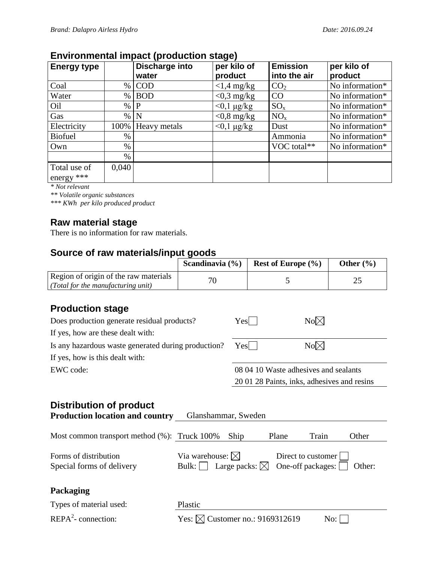## **Environmental impact (production stage)**

| <b>Energy type</b>           |       | . .<br>Discharge into<br>water | per kilo of<br>product | <b>Emission</b><br>into the air | per kilo of<br>product |
|------------------------------|-------|--------------------------------|------------------------|---------------------------------|------------------------|
| Coal                         | $\%$  | <b>COD</b>                     | $<$ 1,4 mg/kg          | CO <sub>2</sub>                 | No information*        |
| Water                        | $\%$  | <b>BOD</b>                     | $<$ 0,3 mg/kg          | CO                              | No information*        |
| Oil                          | $\%$  | P                              | $<$ 0,1 $\mu$ g/kg     | $SO_{x}$                        | No information*        |
| Gas                          | $\%$  | N                              | $<$ 0,8 mg/kg          | $NO_{x}$                        | No information*        |
| Electricity                  | 100%  | Heavy metals                   | $<$ 0,1 $\mu$ g/kg     | Dust                            | No information*        |
| <b>Biofuel</b>               | $\%$  |                                |                        | Ammonia                         | No information*        |
| Own                          | $\%$  |                                |                        | VOC total**                     | No information*        |
|                              | $\%$  |                                |                        |                                 |                        |
| Total use of<br>energy $***$ | 0,040 |                                |                        |                                 |                        |

*\* Not relevant*

*\*\* Volatile organic substances*

*\*\*\* KWh per kilo produced product*

#### **Raw material stage**

There is no information for raw materials.

#### **Source of raw materials/input goods**

|                                       | Scandinavia $(\% )$ | <b>Rest of Europe</b> $(\% )$ | Other $(\% )$ |
|---------------------------------------|---------------------|-------------------------------|---------------|
| Region of origin of the raw materials |                     |                               |               |
| (Total for the manufacturing unit)    |                     |                               |               |

# **Production stage**

| Does production generate residual products?         | $Yes$                                 | $No\n  \boxtimes$                           |
|-----------------------------------------------------|---------------------------------------|---------------------------------------------|
| If yes, how are these dealt with:                   |                                       |                                             |
| Is any hazardous waste generated during production? | $Yes$                                 | $No \boxtimes$                              |
| If yes, how is this dealt with:                     |                                       |                                             |
| EWC code:                                           | 08 04 10 Waste adhesives and sealants |                                             |
|                                                     |                                       | 20 01 28 Paints, inks, adhesives and resins |

# **Distribution of product**

| <b>Production location and country</b>             | Glanshammar, Sweden                                                         |       |                                                 |        |
|----------------------------------------------------|-----------------------------------------------------------------------------|-------|-------------------------------------------------|--------|
| Most common transport method $%$ ): Truck 100%     | Ship                                                                        | Plane | Train                                           | Other  |
| Forms of distribution<br>Special forms of delivery | Via warehouse: $\boxtimes$<br>Large packs: $\boxtimes$<br>Bulk: $  \cdot  $ |       | Direct to customer<br>One-off packages: $\vert$ | Other: |
| <b>Packaging</b>                                   |                                                                             |       |                                                 |        |
| Types of material used:                            | Plastic                                                                     |       |                                                 |        |
| $REPA2$ -connection:                               | Yes: $\bowtie$ Customer no.: 9169312619                                     |       | No:                                             |        |